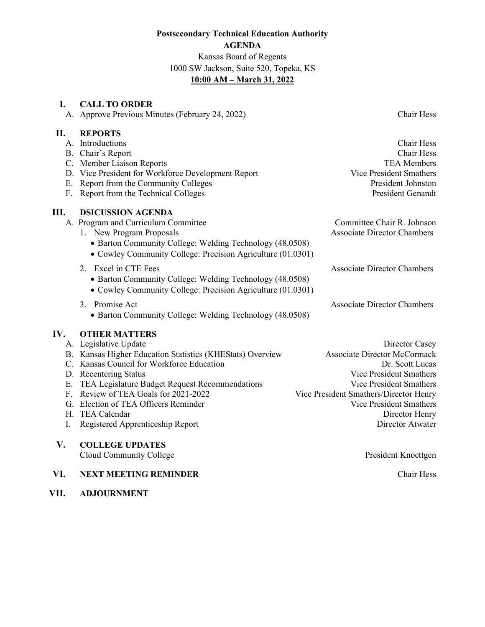# **Postsecondary Technical Education Authority AGENDA** Kansas Board of Regents 1000 SW Jackson, Suite 520, Topeka, KS **10:00 AM – March 31, 2022**

# **I. CALL TO ORDER**

A. Approve Previous Minutes (February 24, 2022) Chair Hess

# **II. REPORTS**

|    | A. Introductions                                            | Chair Hess                         |
|----|-------------------------------------------------------------|------------------------------------|
|    | B. Chair's Report                                           | Chair Hess                         |
|    | C. Member Liaison Reports                                   | <b>TEA Members</b>                 |
|    | D. Vice President for Workforce Development Report          | Vice President Smathers            |
|    | E. Report from the Community Colleges                       | President Johnston                 |
| F. | Report from the Technical Colleges                          | <b>President Genandt</b>           |
| Ш. | <b>DSICUSSION AGENDA</b>                                    |                                    |
|    | A. Program and Curriculum Committee                         | Committee Chair R. Johnson         |
|    | 1. New Program Proposals                                    | <b>Associate Director Chambers</b> |
|    | • Barton Community College: Welding Technology (48.0508)    |                                    |
|    | • Cowley Community College: Precision Agriculture (01.0301) |                                    |
|    | 2. Excel in CTE Fees                                        | <b>Associate Director Chambers</b> |
|    | • Barton Community College: Welding Technology (48.0508)    |                                    |
|    | • Cowley Community College: Precision Agriculture (01.0301) |                                    |
|    | Promise Act<br>3.                                           | <b>Associate Director Chambers</b> |

• Barton Community College: Welding Technology (48.0508)

# **IV. OTHER MATTERS**

| A. Legislative Update                                     | Director Casey                         |
|-----------------------------------------------------------|----------------------------------------|
| B. Kansas Higher Education Statistics (KHEStats) Overview | <b>Associate Director McCormack</b>    |
| C. Kansas Council for Workforce Education                 | Dr. Scott Lucas                        |
| D. Recentering Status                                     | Vice President Smathers                |
| E. TEA Legislature Budget Request Recommendations         | Vice President Smathers                |
| F. Review of TEA Goals for 2021-2022                      | Vice President Smathers/Director Henry |
| G. Election of TEA Officers Reminder                      | Vice President Smathers                |
| H. TEA Calendar                                           | Director Henry                         |
| Registered Apprenticeship Report                          | Director Atwater                       |
|                                                           |                                        |
| <b>COLLEGE UPDATES</b>                                    |                                        |

Cloud Community College **President Knoettgen** 

# **VI. NEXT MEETING REMINDER** Chair Hess

**VII. ADJOURNMENT**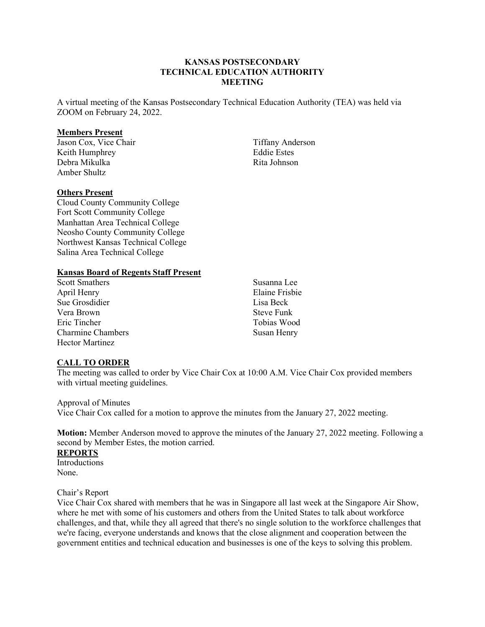## **KANSAS POSTSECONDARY TECHNICAL EDUCATION AUTHORITY MEETING**

A virtual meeting of the Kansas Postsecondary Technical Education Authority (TEA) was held via ZOOM on February 24, 2022.

#### **Members Present**

Jason Cox, Vice Chair Keith Humphrey Debra Mikulka Amber Shultz

#### **Others Present**

Cloud County Community College Fort Scott Community College Manhattan Area Technical College Neosho County Community College Northwest Kansas Technical College Salina Area Technical College

#### **Kansas Board of Regents Staff Present**

Scott Smathers April Henry Sue Grosdidier Vera Brown Eric Tincher Charmine Chambers Hector Martinez

Susanna Lee Elaine Frisbie Lisa Beck Steve Funk Tobias Wood Susan Henry

Tiffany Anderson Eddie Estes Rita Johnson

#### **CALL TO ORDER**

The meeting was called to order by Vice Chair Cox at 10:00 A.M. Vice Chair Cox provided members with virtual meeting guidelines.

Approval of Minutes

Vice Chair Cox called for a motion to approve the minutes from the January 27, 2022 meeting.

**Motion:** Member Anderson moved to approve the minutes of the January 27, 2022 meeting. Following a second by Member Estes, the motion carried.

# **REPORTS**

**Introductions** None.

Chair's Report

Vice Chair Cox shared with members that he was in Singapore all last week at the Singapore Air Show, where he met with some of his customers and others from the United States to talk about workforce challenges, and that, while they all agreed that there's no single solution to the workforce challenges that we're facing, everyone understands and knows that the close alignment and cooperation between the government entities and technical education and businesses is one of the keys to solving this problem.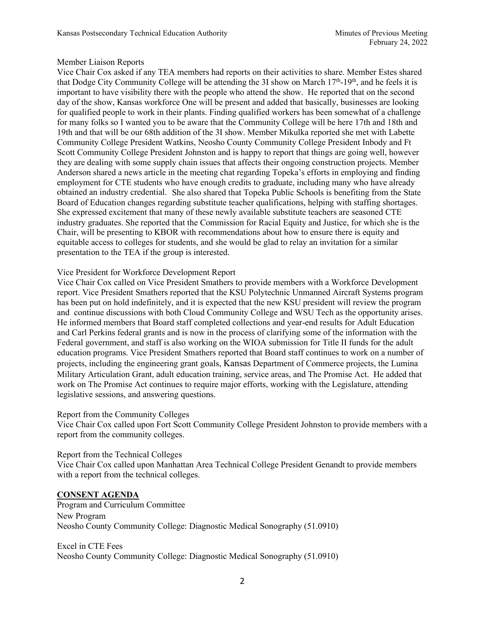# Member Liaison Reports

Vice Chair Cox asked if any TEA members had reports on their activities to share. Member Estes shared that Dodge City Community College will be attending the 3I show on March  $17<sup>th</sup>$ -19<sup>th</sup>, and he feels it is important to have visibility there with the people who attend the show. He reported that on the second day of the show, Kansas workforce One will be present and added that basically, businesses are looking for qualified people to work in their plants. Finding qualified workers has been somewhat of a challenge for many folks so I wanted you to be aware that the Community College will be here 17th and 18th and 19th and that will be our 68th addition of the 3I show. Member Mikulka reported she met with Labette Community College President Watkins, Neosho County Community College President Inbody and Ft Scott Community College President Johnston and is happy to report that things are going well, however they are dealing with some supply chain issues that affects their ongoing construction projects. Member Anderson shared a news article in the meeting chat regarding Topeka's efforts in employing and finding employment for CTE students who have enough credits to graduate, including many who have already obtained an industry credential. She also shared that Topeka Public Schools is benefiting from the State Board of Education changes regarding substitute teacher qualifications, helping with staffing shortages. She expressed excitement that many of these newly available substitute teachers are seasoned CTE industry graduates. She reported that the Commission for Racial Equity and Justice, for which she is the Chair, will be presenting to KBOR with recommendations about how to ensure there is equity and equitable access to colleges for students, and she would be glad to relay an invitation for a similar presentation to the TEA if the group is interested.

# Vice President for Workforce Development Report

Vice Chair Cox called on Vice President Smathers to provide members with a Workforce Development report. Vice President Smathers reported that the KSU Polytechnic Unmanned Aircraft Systems program has been put on hold indefinitely, and it is expected that the new KSU president will review the program and continue discussions with both Cloud Community College and WSU Tech as the opportunity arises. He informed members that Board staff completed collections and year-end results for Adult Education and Carl Perkins federal grants and is now in the process of clarifying some of the information with the Federal government, and staff is also working on the WIOA submission for Title II funds for the adult education programs. Vice President Smathers reported that Board staff continues to work on a number of projects, including the engineering grant goals, Kansas Department of Commerce projects, the Lumina Military Articulation Grant, adult education training, service areas, and The Promise Act. He added that work on The Promise Act continues to require major efforts, working with the Legislature, attending legislative sessions, and answering questions.

Report from the Community Colleges

Vice Chair Cox called upon Fort Scott Community College President Johnston to provide members with a report from the community colleges.

Report from the Technical Colleges

Vice Chair Cox called upon Manhattan Area Technical College President Genandt to provide members with a report from the technical colleges.

# **CONSENT AGENDA**

Program and Curriculum Committee New Program Neosho County Community College: Diagnostic Medical Sonography (51.0910)

Excel in CTE Fees Neosho County Community College: Diagnostic Medical Sonography (51.0910)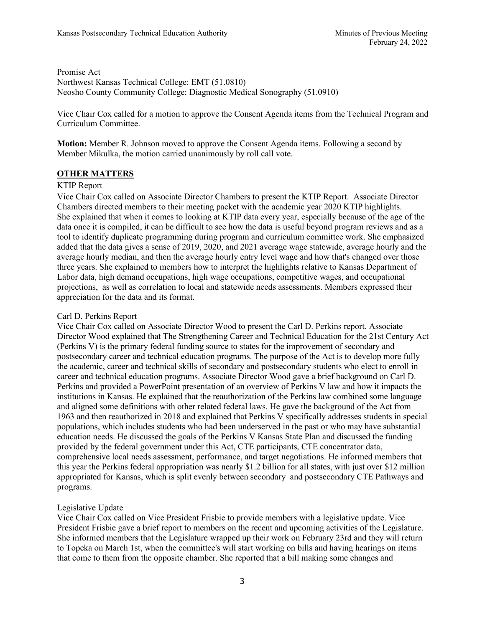Promise Act Northwest Kansas Technical College: EMT (51.0810) Neosho County Community College: Diagnostic Medical Sonography (51.0910)

Vice Chair Cox called for a motion to approve the Consent Agenda items from the Technical Program and Curriculum Committee.

**Motion:** Member R. Johnson moved to approve the Consent Agenda items. Following a second by Member Mikulka, the motion carried unanimously by roll call vote.

# **OTHER MATTERS**

# KTIP Report

Vice Chair Cox called on Associate Director Chambers to present the KTIP Report. Associate Director Chambers directed members to their meeting packet with the academic year 2020 KTIP highlights. She explained that when it comes to looking at KTIP data every year, especially because of the age of the data once it is compiled, it can be difficult to see how the data is useful beyond program reviews and as a tool to identify duplicate programming during program and curriculum committee work. She emphasized added that the data gives a sense of 2019, 2020, and 2021 average wage statewide, average hourly and the average hourly median, and then the average hourly entry level wage and how that's changed over those three years. She explained to members how to interpret the highlights relative to Kansas Department of Labor data, high demand occupations, high wage occupations, competitive wages, and occupational projections, as well as correlation to local and statewide needs assessments. Members expressed their appreciation for the data and its format.

# Carl D. Perkins Report

Vice Chair Cox called on Associate Director Wood to present the Carl D. Perkins report. Associate Director Wood explained that The Strengthening Career and Technical Education for the 21st Century Act (Perkins V) is the primary federal funding source to states for the improvement of secondary and postsecondary career and technical education programs. The purpose of the Act is to develop more fully the academic, career and technical skills of secondary and postsecondary students who elect to enroll in career and technical education programs. Associate Director Wood gave a brief background on Carl D. Perkins and provided a PowerPoint presentation of an overview of Perkins V law and how it impacts the institutions in Kansas. He explained that the reauthorization of the Perkins law combined some language and aligned some definitions with other related federal laws. He gave the background of the Act from 1963 and then reauthorized in 2018 and explained that Perkins V specifically addresses students in special populations, which includes students who had been underserved in the past or who may have substantial education needs. He discussed the goals of the Perkins V Kansas State Plan and discussed the funding provided by the federal government under this Act, CTE participants, CTE concentrator data, comprehensive local needs assessment, performance, and target negotiations. He informed members that this year the Perkins federal appropriation was nearly \$1.2 billion for all states, with just over \$12 million appropriated for Kansas, which is split evenly between secondary and postsecondary CTE Pathways and programs.

# Legislative Update

Vice Chair Cox called on Vice President Frisbie to provide members with a legislative update. Vice President Frisbie gave a brief report to members on the recent and upcoming activities of the Legislature. She informed members that the Legislature wrapped up their work on February 23rd and they will return to Topeka on March 1st, when the committee's will start working on bills and having hearings on items that come to them from the opposite chamber. She reported that a bill making some changes and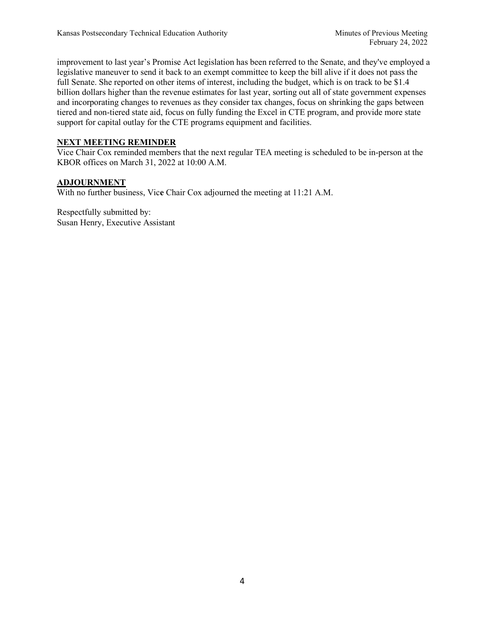improvement to last year's Promise Act legislation has been referred to the Senate, and they've employed a legislative maneuver to send it back to an exempt committee to keep the bill alive if it does not pass the full Senate. She reported on other items of interest, including the budget, which is on track to be \$1.4 billion dollars higher than the revenue estimates for last year, sorting out all of state government expenses and incorporating changes to revenues as they consider tax changes, focus on shrinking the gaps between tiered and non-tiered state aid, focus on fully funding the Excel in CTE program, and provide more state support for capital outlay for the CTE programs equipment and facilities.

# **NEXT MEETING REMINDER**

Vice Chair Cox reminded members that the next regular TEA meeting is scheduled to be in-person at the KBOR offices on March 31, 2022 at 10:00 A.M.

# **ADJOURNMENT**

With no further business, Vic**e** Chair Cox adjourned the meeting at 11:21 A.M.

Respectfully submitted by: Susan Henry, Executive Assistant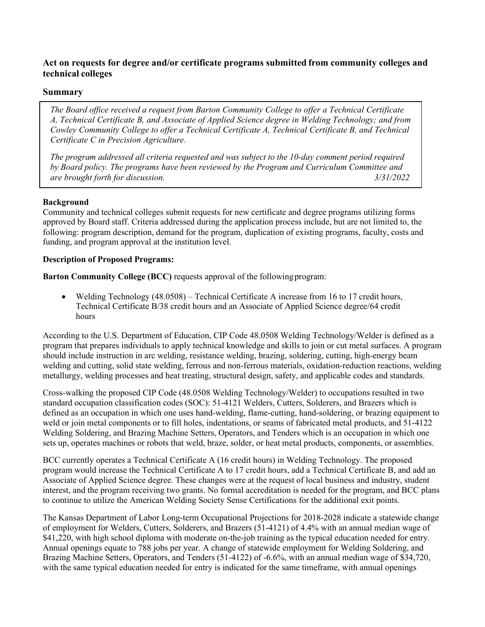# **Act on requests for degree and/or certificate programs submitted from community colleges and technical colleges**

# **Summary**

*The Board office received a request from Barton Community College to offer a Technical Certificate A, Technical Certificate B, and Associate of Applied Science degree in Welding Technology; and from Cowley Community College to offer a Technical Certificate A, Technical Certificate B, and Technical Certificate C in Precision Agriculture.* 

*The program addressed all criteria requested and was subject to the 10-day comment period required by Board policy. The programs have been reviewed by the Program and Curriculum Committee and are brought forth for discussion. 3/31/2022*

# **Background**

Community and technical colleges submit requests for new certificate and degree programs utilizing forms approved by Board staff. Criteria addressed during the application process include, but are not limited to, the following: program description, demand for the program, duplication of existing programs, faculty, costs and funding, and program approval at the institution level.

# **Description of Proposed Programs:**

**Barton Community College (BCC)** requests approval of the followingprogram:

• Welding Technology (48.0508) – Technical Certificate A increase from 16 to 17 credit hours, Technical Certificate B/38 credit hours and an Associate of Applied Science degree/64 credit hours

According to the U.S. Department of Education, CIP Code 48.0508 Welding Technology/Welder is defined as a program that prepares individuals to apply technical knowledge and skills to join or cut metal surfaces. A program should include instruction in arc welding, resistance welding, brazing, soldering, cutting, high-energy beam welding and cutting, solid state welding, ferrous and non-ferrous materials, oxidation-reduction reactions, welding metallurgy, welding processes and heat treating, structural design, safety, and applicable codes and standards.

Cross-walking the proposed CIP Code (48.0508 Welding Technology/Welder) to occupations resulted in two standard occupation classification codes (SOC): 51-4121 Welders, Cutters, Solderers, and Brazers which is defined as an occupation in which one uses hand-welding, flame-cutting, hand-soldering, or brazing equipment to weld or join metal components or to fill holes, indentations, or seams of fabricated metal products, and 51-4122 Welding Soldering, and Brazing Machine Setters, Operators, and Tenders which is an occupation in which one sets up, operates machines or robots that weld, braze, solder, or heat metal products, components, or assemblies.

BCC currently operates a Technical Certificate A (16 credit hours) in Welding Technology. The proposed program would increase the Technical Certificate A to 17 credit hours, add a Technical Certificate B, and add an Associate of Applied Science degree. These changes were at the request of local business and industry, student interest, and the program receiving two grants. No formal accreditation is needed for the program, and BCC plans to continue to utilize the American Welding Society Sense Certifications for the additional exit points.

The Kansas Department of Labor Long-term Occupational Projections for 2018-2028 indicate a statewide change of employment for Welders, Cutters, Solderers, and Brazers (51-4121) of 4.4% with an annual median wage of \$41,220, with high school diploma with moderate on-the-job training as the typical education needed for entry. Annual openings equate to 788 jobs per year. A change of statewide employment for Welding Soldering, and Brazing Machine Setters, Operators, and Tenders (51-4122) of -6.6%, with an annual median wage of \$34,720, with the same typical education needed for entry is indicated for the same timeframe, with annual openings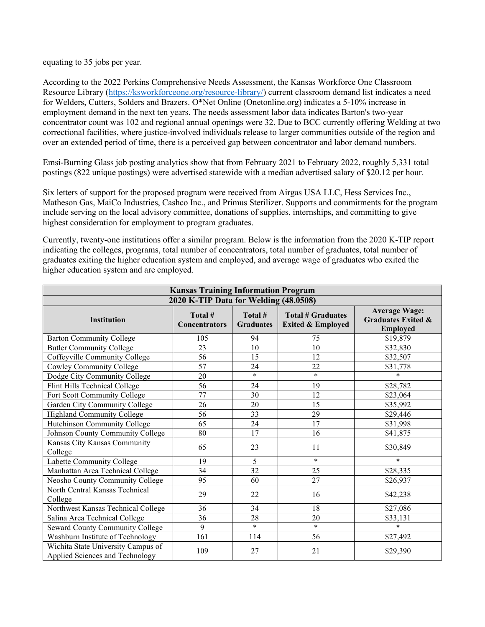equating to 35 jobs per year.

According to the 2022 Perkins Comprehensive Needs Assessment, the Kansas Workforce One Classroom Resource Library [\(https://ksworkforceone.org/resource-library/\)](https://ksworkforceone.org/resource-library/) current classroom demand list indicates a need for Welders, Cutters, Solders and Brazers. O\*Net Online (Onetonline.org) indicates a 5-10% increase in employment demand in the next ten years. The needs assessment labor data indicates Barton's two-year concentrator count was 102 and regional annual openings were 32. Due to BCC currently offering Welding at two correctional facilities, where justice-involved individuals release to larger communities outside of the region and over an extended period of time, there is a perceived gap between concentrator and labor demand numbers.

Emsi-Burning Glass job posting analytics show that from February 2021 to February 2022, roughly 5,331 total postings (822 unique postings) were advertised statewide with a median advertised salary of \$20.12 per hour.

Six letters of support for the proposed program were received from Airgas USA LLC, Hess Services Inc., Matheson Gas, MaiCo Industries, Cashco Inc., and Primus Sterilizer. Supports and commitments for the program include serving on the local advisory committee, donations of supplies, internships, and committing to give highest consideration for employment to program graduates.

Currently, twenty-one institutions offer a similar program. Below is the information from the 2020 K-TIP report indicating the colleges, programs, total number of concentrators, total number of graduates, total number of graduates exiting the higher education system and employed, and average wage of graduates who exited the higher education system and are employed.

| <b>Kansas Training Information Program</b>                            |                                 |                             |                                                          |                                                                          |  |  |
|-----------------------------------------------------------------------|---------------------------------|-----------------------------|----------------------------------------------------------|--------------------------------------------------------------------------|--|--|
| 2020 K-TIP Data for Welding (48.0508)                                 |                                 |                             |                                                          |                                                                          |  |  |
| <b>Institution</b>                                                    | Total #<br><b>Concentrators</b> | Total #<br><b>Graduates</b> | <b>Total # Graduates</b><br><b>Exited &amp; Employed</b> | <b>Average Wage:</b><br><b>Graduates Exited &amp;</b><br><b>Employed</b> |  |  |
| <b>Barton Community College</b>                                       | 105                             | 94                          | 75                                                       | \$19,879                                                                 |  |  |
| <b>Butler Community College</b>                                       | 23                              | 10                          | 10                                                       | \$32,830                                                                 |  |  |
| Coffeyville Community College                                         | 56                              | 15                          | 12                                                       | \$32,507                                                                 |  |  |
| Cowley Community College                                              | 57                              | 24                          | 22                                                       | \$31,778                                                                 |  |  |
| Dodge City Community College                                          | 20                              | $\ast$                      | $\ast$                                                   | $\ast$                                                                   |  |  |
| Flint Hills Technical College                                         | 56                              | 24                          | 19                                                       | \$28,782                                                                 |  |  |
| Fort Scott Community College                                          | 77                              | 30                          | 12                                                       | \$23,064                                                                 |  |  |
| Garden City Community College                                         | 26                              | 20                          | 15                                                       | \$35,992                                                                 |  |  |
| <b>Highland Community College</b>                                     | 56                              | 33                          | 29                                                       | \$29,446                                                                 |  |  |
| Hutchinson Community College                                          | 65                              | 24                          | 17                                                       | \$31,998                                                                 |  |  |
| Johnson County Community College                                      | 80                              | 17                          | 16                                                       | \$41,875                                                                 |  |  |
| Kansas City Kansas Community<br>College                               | 65                              | 23                          | 11                                                       | \$30,849                                                                 |  |  |
| Labette Community College                                             | 19                              | 5                           | $\ast$                                                   | $\ast$                                                                   |  |  |
| Manhattan Area Technical College                                      | 34                              | 32                          | 25                                                       | \$28,335                                                                 |  |  |
| Neosho County Community College                                       | 95                              | 60                          | 27                                                       | \$26,937                                                                 |  |  |
| North Central Kansas Technical<br>College                             | 29                              | 22                          | 16                                                       | \$42,238                                                                 |  |  |
| Northwest Kansas Technical College                                    | 36                              | 34                          | 18                                                       | \$27,086                                                                 |  |  |
| Salina Area Technical College                                         | 36                              | 28                          | 20                                                       | \$33,131                                                                 |  |  |
| Seward County Community College                                       | 9                               | $\ast$                      | $\ast$                                                   | $\ast$                                                                   |  |  |
| Washburn Institute of Technology                                      | 161                             | 114                         | 56                                                       | \$27,492                                                                 |  |  |
| Wichita State University Campus of<br>Applied Sciences and Technology | 109                             | 27                          | 21                                                       | \$29,390                                                                 |  |  |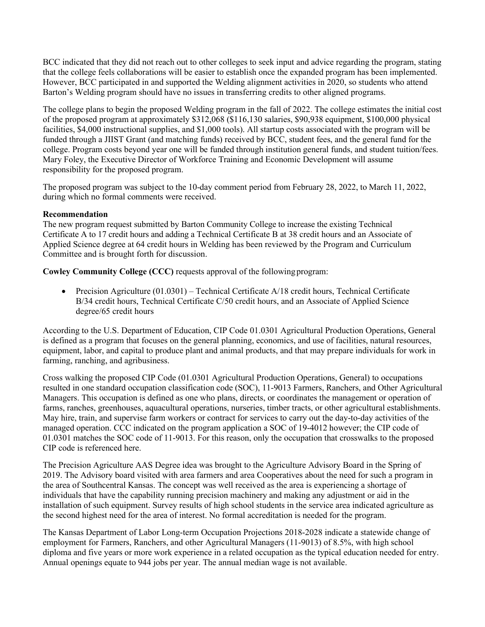BCC indicated that they did not reach out to other colleges to seek input and advice regarding the program, stating that the college feels collaborations will be easier to establish once the expanded program has been implemented. However, BCC participated in and supported the Welding alignment activities in 2020, so students who attend Barton's Welding program should have no issues in transferring credits to other aligned programs.

The college plans to begin the proposed Welding program in the fall of 2022. The college estimates the initial cost of the proposed program at approximately \$312,068 (\$116,130 salaries, \$90,938 equipment, \$100,000 physical facilities, \$4,000 instructional supplies, and \$1,000 tools). All startup costs associated with the program will be funded through a JIIST Grant (and matching funds) received by BCC, student fees, and the general fund for the college. Program costs beyond year one will be funded through institution general funds, and student tuition/fees. Mary Foley, the Executive Director of Workforce Training and Economic Development will assume responsibility for the proposed program.

The proposed program was subject to the 10-day comment period from February 28, 2022, to March 11, 2022, during which no formal comments were received.

# **Recommendation**

The new program request submitted by Barton Community College to increase the existing Technical Certificate A to 17 credit hours and adding a Technical Certificate B at 38 credit hours and an Associate of Applied Science degree at 64 credit hours in Welding has been reviewed by the Program and Curriculum Committee and is brought forth for discussion.

**Cowley Community College (CCC)** requests approval of the followingprogram:

• Precision Agriculture (01.0301) – Technical Certificate A/18 credit hours, Technical Certificate B/34 credit hours, Technical Certificate C/50 credit hours, and an Associate of Applied Science degree/65 credit hours

According to the U.S. Department of Education, CIP Code 01.0301 Agricultural Production Operations, General is defined as a program that focuses on the general planning, economics, and use of facilities, natural resources, equipment, labor, and capital to produce plant and animal products, and that may prepare individuals for work in farming, ranching, and agribusiness.

Cross walking the proposed CIP Code (01.0301 Agricultural Production Operations, General) to occupations resulted in one standard occupation classification code (SOC), 11-9013 Farmers, Ranchers, and Other Agricultural Managers. This occupation is defined as one who plans, directs, or coordinates the management or operation of farms, ranches, greenhouses, aquacultural operations, nurseries, timber tracts, or other agricultural establishments. May hire, train, and supervise farm workers or contract for services to carry out the day-to-day activities of the managed operation. CCC indicated on the program application a SOC of 19-4012 however; the CIP code of 01.0301 matches the SOC code of 11-9013. For this reason, only the occupation that crosswalks to the proposed CIP code is referenced here.

The Precision Agriculture AAS Degree idea was brought to the Agriculture Advisory Board in the Spring of 2019. The Advisory board visited with area farmers and area Cooperatives about the need for such a program in the area of Southcentral Kansas. The concept was well received as the area is experiencing a shortage of individuals that have the capability running precision machinery and making any adjustment or aid in the installation of such equipment. Survey results of high school students in the service area indicated agriculture as the second highest need for the area of interest. No formal accreditation is needed for the program.

The Kansas Department of Labor Long-term Occupation Projections 2018-2028 indicate a statewide change of employment for Farmers, Ranchers, and other Agricultural Managers (11-9013) of 8.5%, with high school diploma and five years or more work experience in a related occupation as the typical education needed for entry. Annual openings equate to 944 jobs per year. The annual median wage is not available.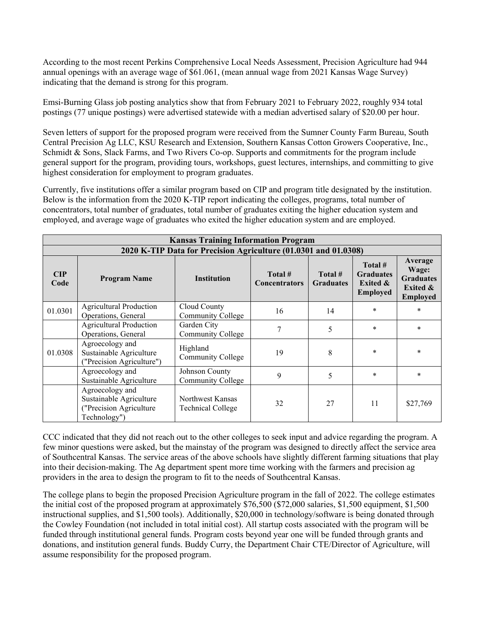According to the most recent Perkins Comprehensive Local Needs Assessment, Precision Agriculture had 944 annual openings with an average wage of \$61.061, (mean annual wage from 2021 Kansas Wage Survey) indicating that the demand is strong for this program.

Emsi-Burning Glass job posting analytics show that from February 2021 to February 2022, roughly 934 total postings (77 unique postings) were advertised statewide with a median advertised salary of \$20.00 per hour.

Seven letters of support for the proposed program were received from the Sumner County Farm Bureau, South Central Precision Ag LLC, KSU Research and Extension, Southern Kansas Cotton Growers Cooperative, Inc., Schmidt & Sons, Slack Farms, and Two Rivers Co-op. Supports and commitments for the program include general support for the program, providing tours, workshops, guest lectures, internships, and committing to give highest consideration for employment to program graduates.

Currently, five institutions offer a similar program based on CIP and program title designated by the institution. Below is the information from the 2020 K-TIP report indicating the colleges, programs, total number of concentrators, total number of graduates, total number of graduates exiting the higher education system and employed, and average wage of graduates who exited the higher education system and are employed.

|             | <b>Kansas Training Information Program</b>                                            |                                              |                                 |                             |                                                                       |                                                                                |  |  |
|-------------|---------------------------------------------------------------------------------------|----------------------------------------------|---------------------------------|-----------------------------|-----------------------------------------------------------------------|--------------------------------------------------------------------------------|--|--|
|             | 2020 K-TIP Data for Precision Agriculture (01.0301 and 01.0308)                       |                                              |                                 |                             |                                                                       |                                                                                |  |  |
| CIP<br>Code | <b>Program Name</b>                                                                   | <b>Institution</b>                           | Total #<br><b>Concentrators</b> | Total #<br><b>Graduates</b> | Total #<br><b>Graduates</b><br><b>Exited &amp;</b><br><b>Employed</b> | Average<br>Wage:<br><b>Graduates</b><br><b>Exited &amp;</b><br><b>Employed</b> |  |  |
| 01.0301     | <b>Agricultural Production</b><br>Operations, General                                 | Cloud County<br><b>Community College</b>     | 16                              | 14                          | $\ast$                                                                | $\ast$                                                                         |  |  |
|             | <b>Agricultural Production</b><br>Operations, General                                 | Garden City<br><b>Community College</b>      | 7                               | 5                           | $\ast$                                                                | $\ast$                                                                         |  |  |
| 01.0308     | Agroecology and<br>Sustainable Agriculture<br>("Precision Agriculture")               | Highland<br>Community College                | 19                              | 8                           | $\ast$                                                                | $\ast$                                                                         |  |  |
|             | Agroecology and<br>Sustainable Agriculture                                            | Johnson County<br><b>Community College</b>   | 9                               | 5                           | $\ast$                                                                | $\ast$                                                                         |  |  |
|             | Agroecology and<br>Sustainable Agriculture<br>("Precision Agriculture<br>Technology") | Northwest Kansas<br><b>Technical College</b> | 32                              | 27                          | 11                                                                    | \$27,769                                                                       |  |  |

CCC indicated that they did not reach out to the other colleges to seek input and advice regarding the program. A few minor questions were asked, but the mainstay of the program was designed to directly affect the service area of Southcentral Kansas. The service areas of the above schools have slightly different farming situations that play into their decision-making. The Ag department spent more time working with the farmers and precision ag providers in the area to design the program to fit to the needs of Southcentral Kansas.

The college plans to begin the proposed Precision Agriculture program in the fall of 2022. The college estimates the initial cost of the proposed program at approximately \$76,500 (\$72,000 salaries, \$1,500 equipment, \$1,500 instructional supplies, and \$1,500 tools). Additionally, \$20,000 in technology/software is being donated through the Cowley Foundation (not included in total initial cost). All startup costs associated with the program will be funded through institutional general funds. Program costs beyond year one will be funded through grants and donations, and institution general funds. Buddy Curry, the Department Chair CTE/Director of Agriculture, will assume responsibility for the proposed program.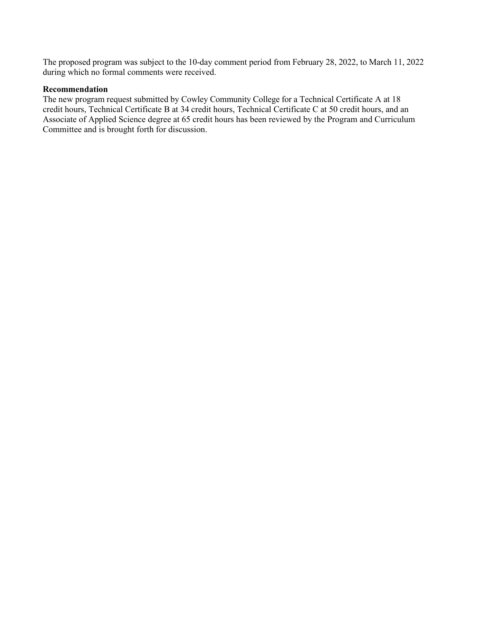The proposed program was subject to the 10-day comment period from February 28, 2022, to March 11, 2022 during which no formal comments were received.

## **Recommendation**

The new program request submitted by Cowley Community College for a Technical Certificate A at 18 credit hours, Technical Certificate B at 34 credit hours, Technical Certificate C at 50 credit hours, and an Associate of Applied Science degree at 65 credit hours has been reviewed by the Program and Curriculum Committee and is brought forth for discussion.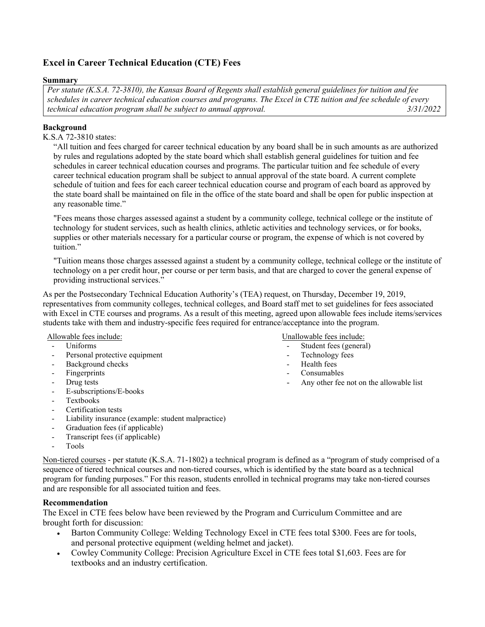# **Excel in Career Technical Education (CTE) Fees**

## **Summary**

*Per statute (K.S.A. 72-3810), the Kansas Board of Regents shall establish general guidelines for tuition and fee schedules in career technical education courses and programs. The Excel in CTE tuition and fee schedule of every technical education program shall be subject to annual approval.* 

# **Background**

# K.S.A 72-3810 states:

"All tuition and fees charged for career technical education by any board shall be in such amounts as are authorized by rules and regulations adopted by the state board which shall establish general guidelines for tuition and fee schedules in career technical education courses and programs. The particular tuition and fee schedule of every career technical education program shall be subject to annual approval of the state board. A current complete schedule of tuition and fees for each career technical education course and program of each board as approved by the state board shall be maintained on file in the office of the state board and shall be open for public inspection at any reasonable time."

"Fees means those charges assessed against a student by a community college, technical college or the institute of technology for student services, such as health clinics, athletic activities and technology services, or for books, supplies or other materials necessary for a particular course or program, the expense of which is not covered by tuition."

"Tuition means those charges assessed against a student by a community college, technical college or the institute of technology on a per credit hour, per course or per term basis, and that are charged to cover the general expense of providing instructional services."

As per the Postsecondary Technical Education Authority's (TEA) request, on Thursday, December 19, 2019, representatives from community colleges, technical colleges, and Board staff met to set guidelines for fees associated with Excel in CTE courses and programs. As a result of this meeting, agreed upon allowable fees include items/services students take with them and industry-specific fees required for entrance/acceptance into the program.

#### Allowable fees include:

- Uniforms
- Personal protective equipment
- Background checks
- Fingerprints
- Drug tests
- E-subscriptions/E-books
- Textbooks
- Certification tests
- Liability insurance (example: student malpractice)
- Graduation fees (if applicable)
- Transcript fees (if applicable)
- Tools

Non-tiered courses - per statute (K.S.A. 71-1802) a technical program is defined as a "program of study comprised of a sequence of tiered technical courses and non-tiered courses, which is identified by the state board as a technical program for funding purposes." For this reason, students enrolled in technical programs may take non-tiered courses and are responsible for all associated tuition and fees.

# **Recommendation**

The Excel in CTE fees below have been reviewed by the Program and Curriculum Committee and are brought forth for discussion:

- Barton Community College: Welding Technology Excel in CTE fees total \$300. Fees are for tools, and personal protective equipment (welding helmet and jacket).
- Cowley Community College: Precision Agriculture Excel in CTE fees total \$1,603. Fees are for textbooks and an industry certification.

#### Unallowable fees include:

- Student fees (general)
- Technology fees
- Health fees
- Consumables
- Any other fee not on the allowable list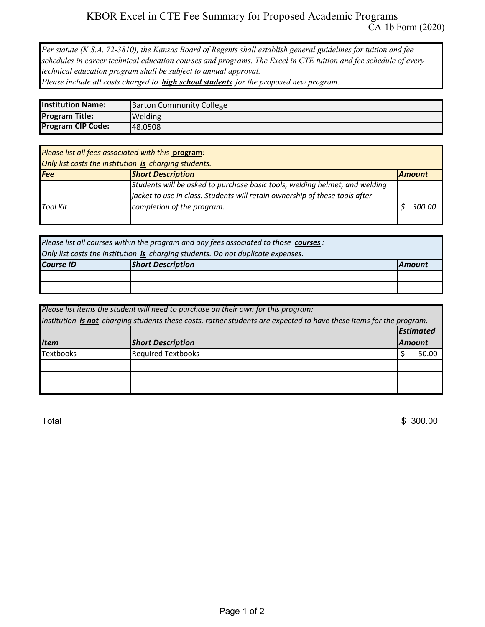*Per statute (K.S.A. 72-3810), the Kansas Board of Regents shall establish general guidelines for tuition and fee schedules in career technical education courses and programs. The Excel in CTE tuition and fee schedule of every technical education program shall be subject to annual approval.* 

*Please include all costs charged to high school students for the proposed new program.* 

| <b>Institution Name:</b> | <b>Barton Community College</b> |
|--------------------------|---------------------------------|
| <b>Program Title:</b>    | Welding                         |
| <b>Program CIP Code:</b> | 148.0508                        |

| Please list all fees associated with this program:    |                                                                             |        |  |  |
|-------------------------------------------------------|-----------------------------------------------------------------------------|--------|--|--|
| Only list costs the institution is charging students. |                                                                             |        |  |  |
| <b>Short Description</b><br>Fee<br><b>Amount</b>      |                                                                             |        |  |  |
|                                                       | Students will be asked to purchase basic tools, welding helmet, and welding |        |  |  |
|                                                       | jacket to use in class. Students will retain ownership of these tools after |        |  |  |
| <b>Tool Kit</b>                                       | completion of the program.                                                  | 300.00 |  |  |
|                                                       |                                                                             |        |  |  |

| Please list all courses within the program and any fees associated to those courses: |                                                                                  |  |  |  |  |
|--------------------------------------------------------------------------------------|----------------------------------------------------------------------------------|--|--|--|--|
|                                                                                      | Only list costs the institution is charging students. Do not duplicate expenses. |  |  |  |  |
| <b>Short Description</b><br><b>Course ID</b><br><b>Amount</b>                        |                                                                                  |  |  |  |  |
|                                                                                      |                                                                                  |  |  |  |  |
|                                                                                      |                                                                                  |  |  |  |  |

| Please list items the student will need to purchase on their own for this program: |                                                                                                                     |                  |       |  |  |
|------------------------------------------------------------------------------------|---------------------------------------------------------------------------------------------------------------------|------------------|-------|--|--|
|                                                                                    | Institution is not charging students these costs, rather students are expected to have these items for the program. |                  |       |  |  |
|                                                                                    |                                                                                                                     | <b>Estimated</b> |       |  |  |
| <b>Item</b>                                                                        | <b>Short Description</b>                                                                                            | <b>Amount</b>    |       |  |  |
| <b>Textbooks</b>                                                                   | <b>Required Textbooks</b>                                                                                           |                  | 50.00 |  |  |
|                                                                                    |                                                                                                                     |                  |       |  |  |
|                                                                                    |                                                                                                                     |                  |       |  |  |
|                                                                                    |                                                                                                                     |                  |       |  |  |

 $\text{Total}$   $\text{\$ 300.00}$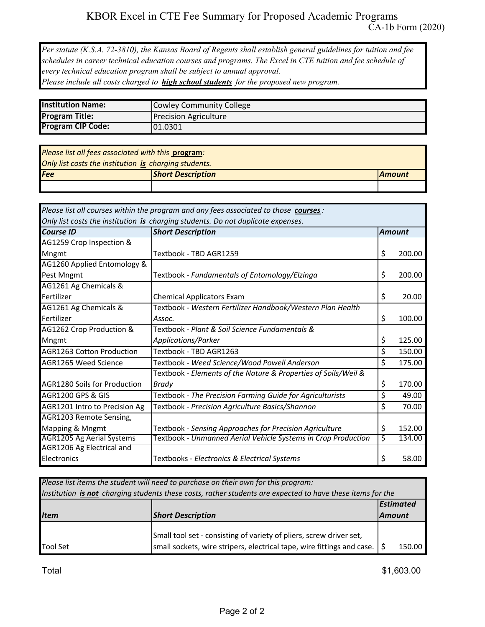*Per statute (K.S.A. 72-3810), the Kansas Board of Regents shall establish general guidelines for tuition and fee schedules in career technical education courses and programs. The Excel in CTE tuition and fee schedule of every technical education program shall be subject to annual approval. Please include all costs charged to high school students for the proposed new program.* 

| <b>Institution Name:</b> | Cowley Community College     |
|--------------------------|------------------------------|
| <b>Program Title:</b>    | <b>Precision Agriculture</b> |
| <b>Program CIP Code:</b> | 01.0301                      |

| Please list all fees associated with this program: |                                                       |               |  |  |  |
|----------------------------------------------------|-------------------------------------------------------|---------------|--|--|--|
|                                                    | Only list costs the institution is charging students. |               |  |  |  |
| <b>Fee</b>                                         | <b>Short Description</b>                              | <b>Amount</b> |  |  |  |
|                                                    |                                                       |               |  |  |  |

| Please list all courses within the program and any fees associated to those courses : |                                                                |    |        |  |  |
|---------------------------------------------------------------------------------------|----------------------------------------------------------------|----|--------|--|--|
| Only list costs the institution is charging students. Do not duplicate expenses.      |                                                                |    |        |  |  |
| <b>Course ID</b>                                                                      | <b>Short Description</b><br><b>Amount</b>                      |    |        |  |  |
| AG1259 Crop Inspection &                                                              |                                                                |    |        |  |  |
| Mngmt                                                                                 | Textbook - TBD AGR1259                                         | \$ | 200.00 |  |  |
| AG1260 Applied Entomology &                                                           |                                                                |    |        |  |  |
| Pest Mngmt                                                                            | Textbook - Fundamentals of Entomology/Elzinga                  | \$ | 200.00 |  |  |
| AG1261 Ag Chemicals &                                                                 |                                                                |    |        |  |  |
| Fertilizer                                                                            | <b>Chemical Applicators Exam</b>                               | \$ | 20.00  |  |  |
| AG1261 Ag Chemicals &                                                                 | Textbook - Western Fertilizer Handbook/Western Plan Health     |    |        |  |  |
| Fertilizer                                                                            | Assoc.                                                         | \$ | 100.00 |  |  |
| AG1262 Crop Production &                                                              | Textbook - Plant & Soil Science Fundamentals &                 |    |        |  |  |
| Mngmt                                                                                 | Applications/Parker                                            | \$ | 125.00 |  |  |
| <b>AGR1263 Cotton Production</b>                                                      | Textbook - TBD AGR1263                                         | \$ | 150.00 |  |  |
| AGR1265 Weed Science                                                                  | Textbook - Weed Science/Wood Powell Anderson                   | \$ | 175.00 |  |  |
|                                                                                       | Textbook - Elements of the Nature & Properties of Soils/Weil & |    |        |  |  |
| <b>AGR1280 Soils for Production</b>                                                   | Brady                                                          | \$ | 170.00 |  |  |
| <b>AGR1200 GPS &amp; GIS</b>                                                          | Textbook - The Precision Farming Guide for Agriculturists      | \$ | 49.00  |  |  |
| AGR1201 Intro to Precision Ag                                                         | Textbook - Precision Agriculture Basics/Shannon                | \$ | 70.00  |  |  |
| AGR1203 Remote Sensing,                                                               |                                                                |    |        |  |  |
| Mapping & Mngmt                                                                       | Textbook - Sensing Approaches for Precision Agriculture        | \$ | 152.00 |  |  |
| <b>AGR1205 Ag Aerial Systems</b>                                                      | Textbook - Unmanned Aerial Vehicle Systems in Crop Production  | \$ | 134.00 |  |  |
| AGR1206 Ag Electrical and                                                             |                                                                |    |        |  |  |
| Electronics                                                                           | Textbooks - Electronics & Electrical Systems                   | \$ | 58.00  |  |  |

| Please list items the student will need to purchase on their own for this program:                         |                                                                                      |               |        |  |  |
|------------------------------------------------------------------------------------------------------------|--------------------------------------------------------------------------------------|---------------|--------|--|--|
| Institution is not charging students these costs, rather students are expected to have these items for the |                                                                                      |               |        |  |  |
| <b>Estimated</b>                                                                                           |                                                                                      |               |        |  |  |
| <b>Item</b>                                                                                                | <b>Short Description</b>                                                             | <b>Amount</b> |        |  |  |
|                                                                                                            | Small tool set - consisting of variety of pliers, screw driver set,                  |               |        |  |  |
| <b>Tool Set</b>                                                                                            | small sockets, wire stripers, electrical tape, wire fittings and case. $\frac{1}{5}$ |               | 150.00 |  |  |

Total \$1,603.00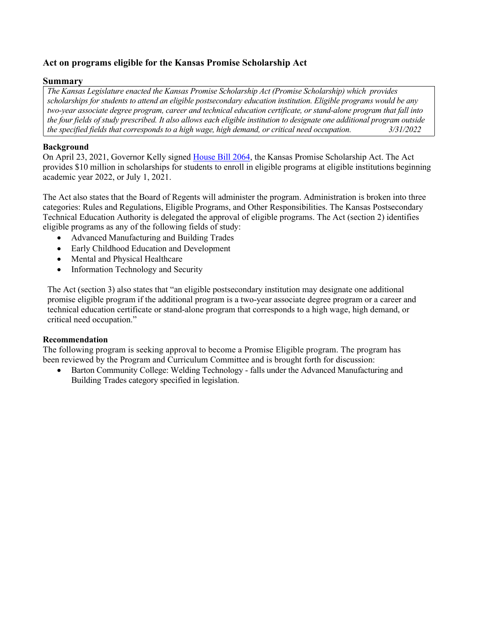# **Act on programs eligible for the Kansas Promise Scholarship Act**

# **Summary**

*The Kansas Legislature enacted the Kansas Promise Scholarship Act (Promise Scholarship) which provides scholarships for students to attend an eligible postsecondary education institution. Eligible programs would be any two-year associate degree program, career and technical education certificate, or stand-alone program that fall into the four fields of study prescribed. It also allows each eligible institution to designate one additional program outside the specified fields that corresponds to a high wage, high demand, or critical need occupation. 3/31/2022* 

# **Background**

On April 23, 2021, Governor Kelly signe[d House Bill 2064,](http://www.kslegislature.org/li/b2021_22/measures/documents/hb2064_enrolled.pdf) the Kansas Promise Scholarship Act. The Act provides \$10 million in scholarships for students to enroll in eligible programs at eligible institutions beginning academic year 2022, or July 1, 2021.

The Act also states that the Board of Regents will administer the program. Administration is broken into three categories: Rules and Regulations, Eligible Programs, and Other Responsibilities. The Kansas Postsecondary Technical Education Authority is delegated the approval of eligible programs. The Act (section 2) identifies eligible programs as any of the following fields of study:

- Advanced Manufacturing and Building Trades
- Early Childhood Education and Development
- Mental and Physical Healthcare
- Information Technology and Security

The Act (section 3) also states that "an eligible postsecondary institution may designate one additional promise eligible program if the additional program is a two-year associate degree program or a career and technical education certificate or stand-alone program that corresponds to a high wage, high demand, or critical need occupation."

# **Recommendation**

The following program is seeking approval to become a Promise Eligible program. The program has been reviewed by the Program and Curriculum Committee and is brought forth for discussion:

• Barton Community College: Welding Technology - falls under the Advanced Manufacturing and Building Trades category specified in legislation.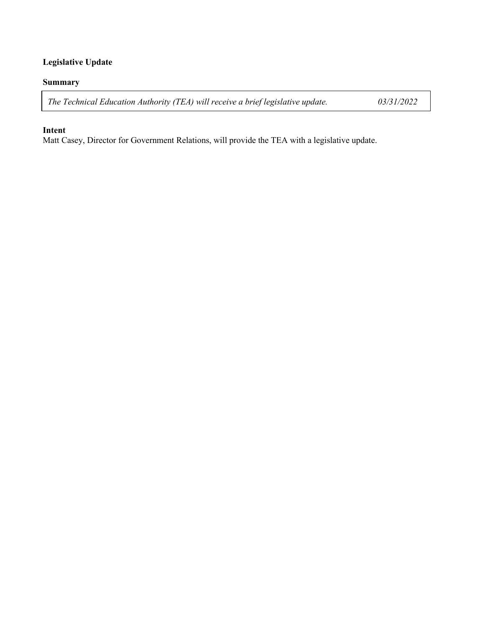# **Legislative Update**

# **Summary**

*The Technical Education Authority (TEA) will receive a brief legislative update. 03/31/2022*

# **Intent**

Matt Casey, Director for Government Relations, will provide the TEA with a legislative update.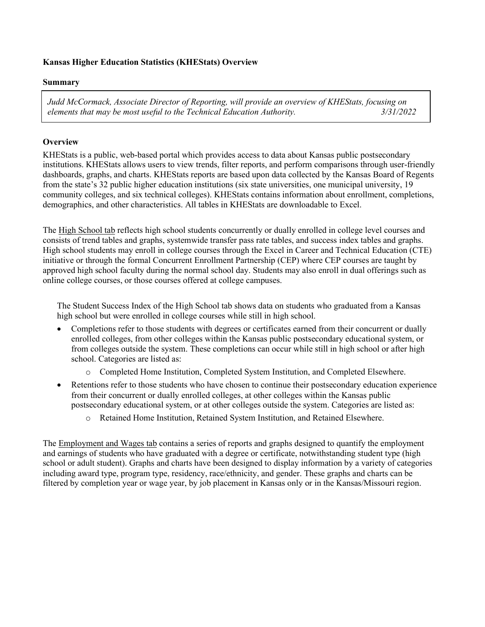# **Kansas Higher Education Statistics (KHEStats) Overview**

## **Summary**

*Judd McCormack, Associate Director of Reporting, will provide an overview of KHEStats, focusing on elements that may be most useful to the Technical Education Authority. 3/31/2022*

# **Overview**

KHEStats is a public, web-based portal which provides access to data about Kansas public postsecondary institutions. KHEStats allows users to view trends, filter reports, and perform comparisons through user-friendly dashboards, graphs, and charts. KHEStats reports are based upon data collected by the Kansas Board of Regents from the state's 32 public higher education institutions (six state universities, one municipal university, 19 community colleges, and six technical colleges). KHEStats contains information about enrollment, completions, demographics, and other characteristics. All tables in KHEStats are downloadable to Excel.

The High School tab reflects high school students concurrently or dually enrolled in college level courses and consists of trend tables and graphs, systemwide transfer pass rate tables, and success index tables and graphs. High school students may enroll in college courses through the Excel in Career and Technical Education (CTE) initiative or through the formal Concurrent Enrollment Partnership (CEP) where CEP courses are taught by approved high school faculty during the normal school day. Students may also enroll in dual offerings such as online college courses, or those courses offered at college campuses.

The Student Success Index of the High School tab shows data on students who graduated from a Kansas high school but were enrolled in college courses while still in high school.

- Completions refer to those students with degrees or certificates earned from their concurrent or dually enrolled colleges, from other colleges within the Kansas public postsecondary educational system, or from colleges outside the system. These completions can occur while still in high school or after high school. Categories are listed as:
	- o Completed Home Institution, Completed System Institution, and Completed Elsewhere.
- Retentions refer to those students who have chosen to continue their postsecondary education experience from their concurrent or dually enrolled colleges, at other colleges within the Kansas public postsecondary educational system, or at other colleges outside the system. Categories are listed as:
	- o Retained Home Institution, Retained System Institution, and Retained Elsewhere.

The Employment and Wages tab contains a series of reports and graphs designed to quantify the employment and earnings of students who have graduated with a degree or certificate, notwithstanding student type (high school or adult student). Graphs and charts have been designed to display information by a variety of categories including award type, program type, residency, race/ethnicity, and gender. These graphs and charts can be filtered by completion year or wage year, by job placement in Kansas only or in the Kansas/Missouri region.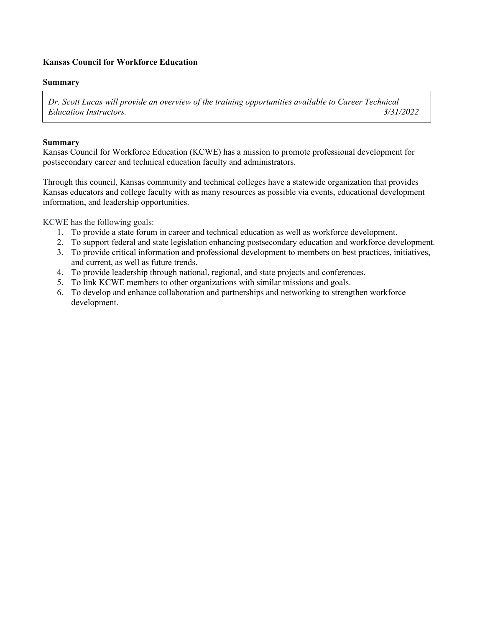# **Kansas Council for Workforce Education**

## **Summary**

*Dr. Scott Lucas will provide an overview of the training opportunities available to Career Technical Education Instructors. 3/31/2022* 

## **Summary**

Kansas Council for Workforce Education (KCWE) has a mission to promote professional development for postsecondary career and technical education faculty and administrators.

Through this council, Kansas community and technical colleges have a statewide organization that provides Kansas educators and college faculty with as many resources as possible via events, educational development information, and leadership opportunities.

KCWE has the following goals:

- 1. To provide a state forum in career and technical education as well as workforce development.
- 2. To support federal and state legislation enhancing postsecondary education and workforce development.
- 3. To provide critical information and professional development to members on best practices, initiatives, and current, as well as future trends.
- 4. To provide leadership through national, regional, and state projects and conferences.
- 5. To link KCWE members to other organizations with similar missions and goals.
- 6. To develop and enhance collaboration and partnerships and networking to strengthen workforce development.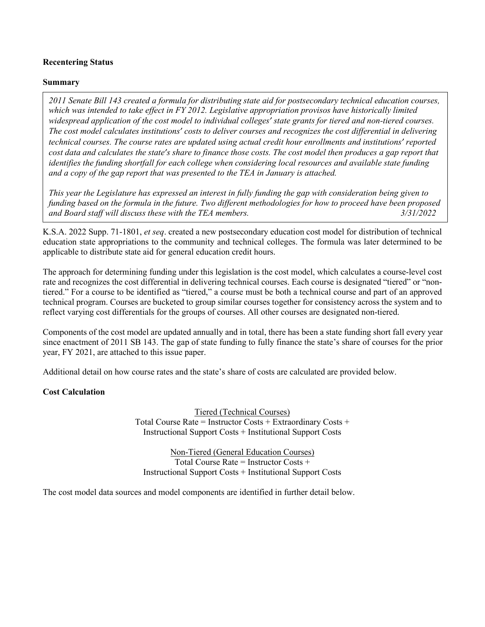# **Recentering Status**

## **Summary**

*2011 Senate Bill 143 created a formula for distributing state aid for postsecondary technical education courses, which was intended to take effect in FY 2012. Legislative appropriation provisos have historically limited widespread application of the cost model to individual colleges' state grants for tiered and non-tiered courses. The cost model calculates institutions' costs to deliver courses and recognizes the cost differential in delivering technical courses. The course rates are updated using actual credit hour enrollments and institutions' reported cost data and calculates the state's share to finance those costs. The cost model then produces a gap report that identifies the funding shortfall for each college when considering local resources and available state funding and a copy of the gap report that was presented to the TEA in January is attached.*

*This year the Legislature has expressed an interest in fully funding the gap with consideration being given to funding based on the formula in the future. Two different methodologies for how to proceed have been proposed and Board staff will discuss these with the TEA members. 3/31/2022*

K.S.A. 2022 Supp. 71-1801, *et seq*. created a new postsecondary education cost model for distribution of technical education state appropriations to the community and technical colleges. The formula was later determined to be applicable to distribute state aid for general education credit hours.

The approach for determining funding under this legislation is the cost model, which calculates a course-level cost rate and recognizes the cost differential in delivering technical courses. Each course is designated "tiered" or "nontiered." For a course to be identified as "tiered," a course must be both a technical course and part of an approved technical program. Courses are bucketed to group similar courses together for consistency across the system and to reflect varying cost differentials for the groups of courses. All other courses are designated non-tiered.

Components of the cost model are updated annually and in total, there has been a state funding short fall every year since enactment of 2011 SB 143. The gap of state funding to fully finance the state's share of courses for the prior year, FY 2021, are attached to this issue paper.

Additional detail on how course rates and the state's share of costs are calculated are provided below.

# **Cost Calculation**

Tiered (Technical Courses) Total Course Rate = Instructor Costs + Extraordinary Costs + Instructional Support Costs + Institutional Support Costs

Non-Tiered (General Education Courses) Total Course Rate = Instructor Costs + Instructional Support Costs + Institutional Support Costs

The cost model data sources and model components are identified in further detail below.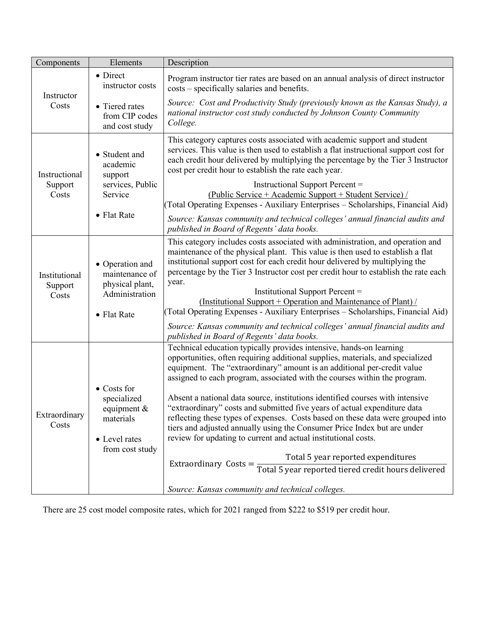| Components               | Elements                                                                                           | Description                                                                                                                                                                                                                                                                                                                                                                                                                                                                                                                                                                                                                                                                                                                                                                                                                                                                                                  |
|--------------------------|----------------------------------------------------------------------------------------------------|--------------------------------------------------------------------------------------------------------------------------------------------------------------------------------------------------------------------------------------------------------------------------------------------------------------------------------------------------------------------------------------------------------------------------------------------------------------------------------------------------------------------------------------------------------------------------------------------------------------------------------------------------------------------------------------------------------------------------------------------------------------------------------------------------------------------------------------------------------------------------------------------------------------|
| Instructor<br>Costs      | • Direct<br>instructor costs                                                                       | Program instructor tier rates are based on an annual analysis of direct instructor<br>costs – specifically salaries and benefits.                                                                                                                                                                                                                                                                                                                                                                                                                                                                                                                                                                                                                                                                                                                                                                            |
|                          | • Tiered rates<br>from CIP codes<br>and cost study                                                 | Source: Cost and Productivity Study (previously known as the Kansas Study), a<br>national instructor cost study conducted by Johnson County Community<br>College.                                                                                                                                                                                                                                                                                                                                                                                                                                                                                                                                                                                                                                                                                                                                            |
| Instructional            | • Student and<br>academic<br>support                                                               | This category captures costs associated with academic support and student<br>services. This value is then used to establish a flat instructional support cost for<br>each credit hour delivered by multiplying the percentage by the Tier 3 Instructor<br>cost per credit hour to establish the rate each year.                                                                                                                                                                                                                                                                                                                                                                                                                                                                                                                                                                                              |
| Support<br>Costs         | services, Public<br>Service                                                                        | Instructional Support Percent =<br>(Public Service + Academic Support + Student Service) /<br>(Total Operating Expenses - Auxiliary Enterprises - Scholarships, Financial Aid)                                                                                                                                                                                                                                                                                                                                                                                                                                                                                                                                                                                                                                                                                                                               |
|                          | • Flat Rate                                                                                        | Source: Kansas community and technical colleges' annual financial audits and<br>published in Board of Regents' data books.                                                                                                                                                                                                                                                                                                                                                                                                                                                                                                                                                                                                                                                                                                                                                                                   |
| Institutional<br>Support | • Operation and<br>maintenance of<br>physical plant,<br>Administration                             | This category includes costs associated with administration, and operation and<br>maintenance of the physical plant. This value is then used to establish a flat<br>institutional support cost for each credit hour delivered by multiplying the<br>percentage by the Tier 3 Instructor cost per credit hour to establish the rate each<br>year.<br>Institutional Support Percent =                                                                                                                                                                                                                                                                                                                                                                                                                                                                                                                          |
| Costs                    | • Flat Rate                                                                                        | (Institutional Support + Operation and Maintenance of Plant) /<br>(Total Operating Expenses - Auxiliary Enterprises - Scholarships, Financial Aid)                                                                                                                                                                                                                                                                                                                                                                                                                                                                                                                                                                                                                                                                                                                                                           |
|                          |                                                                                                    | Source: Kansas community and technical colleges' annual financial audits and<br>published in Board of Regents' data books.                                                                                                                                                                                                                                                                                                                                                                                                                                                                                                                                                                                                                                                                                                                                                                                   |
| Extraordinary<br>Costs   | $\bullet$ Costs for<br>specialized<br>equipment &<br>materials<br>• Level rates<br>from cost study | Technical education typically provides intensive, hands-on learning<br>opportunities, often requiring additional supplies, materials, and specialized<br>equipment. The "extraordinary" amount is an additional per-credit value<br>assigned to each program, associated with the courses within the program.<br>Absent a national data source, institutions identified courses with intensive<br>"extraordinary" costs and submitted five years of actual expenditure data<br>reflecting these types of expenses. Costs based on these data were grouped into<br>tiers and adjusted annually using the Consumer Price Index but are under<br>review for updating to current and actual institutional costs.<br>Total 5 year reported expenditures<br>Extraordinary $\text{Costs} = \frac{1}{\text{Total 5 year reported}}$ iered credit hours delivered<br>Source: Kansas community and technical colleges. |

There are 25 cost model composite rates, which for 2021 ranged from \$222 to \$519 per credit hour.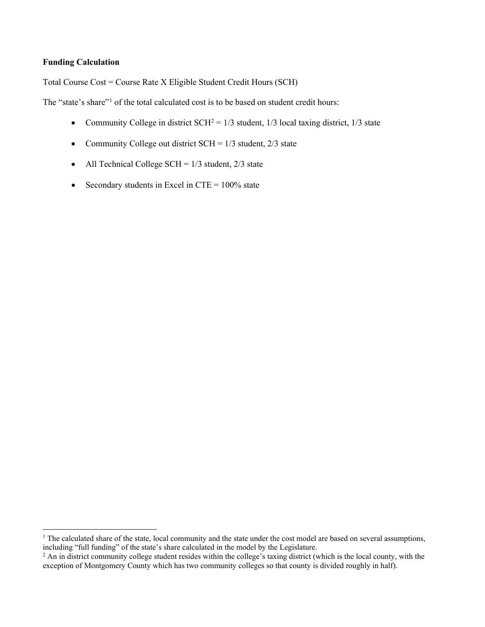# **Funding Calculation**

Total Course Cost = Course Rate X Eligible Student Credit Hours (SCH)

The "state's share"<sup>[1](#page-19-0)</sup> of the total calculated cost is to be based on student credit hours:

- Community College in district  $SCH^2 = 1/3$  $SCH^2 = 1/3$  $SCH^2 = 1/3$  student, 1/3 local taxing district, 1/3 state
- Community College out district  $SCH = 1/3$  student,  $2/3$  state
- All Technical College SCH =  $1/3$  student,  $2/3$  state
- Secondary students in Excel in CTE =  $100\%$  state

<span id="page-19-0"></span><sup>&</sup>lt;sup>1</sup> The calculated share of the state, local community and the state under the cost model are based on several assumptions, including "full funding" of the state's share calculated in the model by the Legislature.

<span id="page-19-1"></span><sup>&</sup>lt;sup>2</sup> An in district community college student resides within the college's taxing district (which is the local county, with the exception of Montgomery County which has two community colleges so that county is divided roughly in half).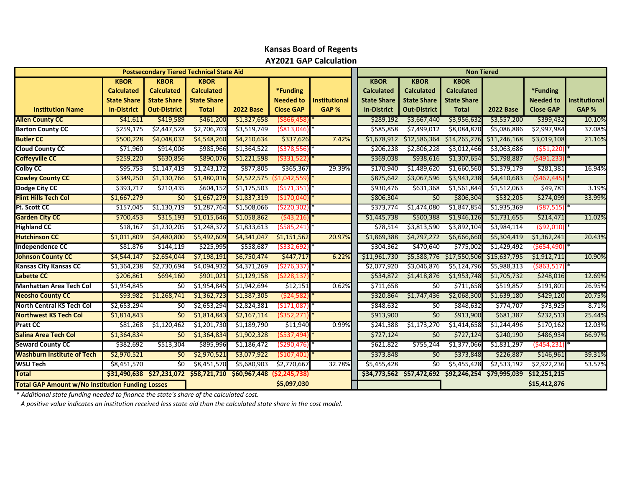|                                                         |                    | <b>Postsecondary Tiered Technical State Aid</b> |                    |                                                     |                  |                      |                    |                                        | <b>Non Tiered</b>  |                  |                  |                      |
|---------------------------------------------------------|--------------------|-------------------------------------------------|--------------------|-----------------------------------------------------|------------------|----------------------|--------------------|----------------------------------------|--------------------|------------------|------------------|----------------------|
|                                                         | <b>KBOR</b>        | <b>KBOR</b>                                     | <b>KBOR</b>        |                                                     |                  |                      | <b>KBOR</b>        | <b>KBOR</b>                            | <b>KBOR</b>        |                  |                  |                      |
|                                                         | <b>Calculated</b>  | <b>Calculated</b>                               | <b>Calculated</b>  |                                                     | *Funding         |                      | <b>Calculated</b>  | <b>Calculated</b>                      | <b>Calculated</b>  |                  | *Funding         |                      |
|                                                         | <b>State Share</b> | <b>State Share</b>                              | <b>State Share</b> |                                                     | <b>Needed to</b> | <b>Institutional</b> | <b>State Share</b> | <b>State Share</b>                     | <b>State Share</b> |                  | <b>Needed to</b> | <b>Institutional</b> |
| <b>Institution Name</b>                                 | <b>In-District</b> | <b>Out-District</b>                             | <b>Total</b>       | <b>2022 Base</b>                                    | <b>Close GAP</b> | GAP %                | <b>In-District</b> | <b>Out-District</b>                    | <b>Total</b>       | <b>2022 Base</b> | <b>Close GAP</b> | GAP %                |
| <b>Allen County CC</b>                                  | \$41,611           | \$419,589                                       | \$461,200          | \$1,327,658                                         | $($ \$866,458    |                      | \$289,192          | \$3,667,440                            | \$3,956,632        | \$3,557,200      | \$399,432        | 10.10%               |
| <b>Barton County CC</b>                                 | \$259,175          | \$2,447,528                                     | \$2,706,703        | \$3,519,749                                         | $($ \$813,046    |                      | \$585,858          | \$7,499,012                            | \$8,084,870        | \$5,086,886      | \$2,997,984      | 37.08%               |
| <b>Butler CC</b>                                        | \$500,228          | \$4,048,032                                     | \$4,548,260        | \$4,210,634                                         | \$337,626        | 7.42%                | \$1,678,912        | \$12,586,364                           | \$14,265,276       | \$11,246,168     | \$3,019,108      | 21.16%               |
| <b>Cloud County CC</b>                                  | \$71,960           | \$914,006                                       | \$985,966          | \$1,364,522                                         | ( \$378, 556]    |                      | \$206,238          | \$2,806,228                            | \$3,012,466        | \$3,063,686      | ( \$51, 220)     |                      |
| <b>Coffeyville CC</b>                                   | \$259,220          | \$630,856                                       | \$890,076          | \$1,221,598                                         | $($ \$331,522    |                      | \$369,038          | \$938,616                              | \$1,307,654        | \$1,798,887      | (\$491,233)      |                      |
| <b>Colby CC</b>                                         | \$95,753           | \$1,147,419                                     | \$1,243,172        | \$877,805                                           | \$365,367        | 29.39%               | \$170,940          | \$1,489,620                            | \$1,660,560        | \$1,379,179      | \$281,381        | 16.94%               |
| <b>Cowley County CC</b>                                 | \$349,250          | \$1,130,766                                     | \$1,480,016        | \$2,522,575                                         | ( \$1,042,559]   |                      | \$875,642          | \$3,067,596                            | \$3,943,238        | \$4,410,683      | (5467, 445)      |                      |
| Dodge City CC                                           | \$393,717          | \$210,435                                       | \$604,152          | \$1,175,503                                         | (5571, 351)      |                      | \$930,476          | \$631,368                              | \$1,561,844        | \$1,512,063      | \$49,781         | 3.19%                |
| <b>Flint Hills Tech Col</b>                             | \$1,667,279        | \$0                                             | \$1,667,279        | \$1,837,319                                         | (5170,040        |                      | \$806,304          | 50                                     | \$806,304          | \$532,205        | \$274,099        | 33.99%               |
| <b>Ft. Scott CC</b>                                     | \$157,045          | \$1,130,719                                     | \$1,287,764        | \$1,508,066                                         | ( \$220, 302     |                      | \$373,774          | \$1,474,080                            | \$1,847,854        | \$1,935,369      | $($ \$87,515)    |                      |
| <b>Garden City CC</b>                                   | \$700,453          | \$315,193                                       | \$1,015,646        | \$1,058,862                                         | (543, 216)       |                      | \$1,445,738        | \$500,388                              | \$1,946,126        | \$1,731,655      | \$214,471        | 11.02%               |
| <b>Highland CC</b>                                      | \$18,167           | \$1,230,205                                     | \$1,248,372        | \$1,833,613                                         | (5585, 241)      |                      | \$78,514           | \$3,813,590                            | \$3,892,104        | \$3,984,114      | $($ \$92,010)    |                      |
| <b>Hutchinson CC</b>                                    | \$1,011,809        | \$4,480,800                                     | \$5,492,609        | \$4,341,047                                         | \$1,151,562      | 20.97%               | \$1,869,388        | \$4,797,272                            | \$6,666,660        | \$5,304,419      | \$1,362,241      | 20.43%               |
| Independence CC                                         | \$81,876           | \$144,119                                       | \$225,995          | \$558,687                                           | ( \$332, 692]    |                      | \$304,362          | \$470,640                              | \$775,002          | \$1,429,492      | ( \$654,490)     |                      |
| <b>Johnson County CC</b>                                | \$4,544,147        | \$2,654,044                                     | \$7,198,191        | \$6,750,474                                         | \$447,717        | 6.22%                | \$11,961,730       | \$5,588,776                            | \$17,550,506       | \$15,637,795     | \$1,912,711      | 10.90%               |
| <b>Kansas City Kansas CC</b>                            | \$1,364,238        | \$2,730,694                                     | \$4,094,932        | \$4,371,269                                         | (5276, 337)      |                      | \$2,077,920        | \$3,046,876                            | \$5,124,796        | \$5,988,313      | ( \$863, 517)    |                      |
| <b>Labette CC</b>                                       | \$206,861          | \$694,160                                       | \$901,021          | \$1,129,158                                         | (5228, 137)      |                      | \$534,872          | \$1,418,876                            | \$1,953,748        | \$1,705,732      | \$248,016        | 12.69%               |
| <b>Manhattan Area Tech Col</b>                          | \$1,954,845        | 50                                              | \$1,954,845        | \$1,942,694                                         | \$12,151         | 0.62%                | \$711,658          | \$0                                    | \$711,658          | \$519,857        | \$191,801        | 26.95%               |
| <b>Neosho County CC</b>                                 | \$93,982           | \$1,268,741                                     | \$1,362,723        | \$1,387,305                                         | ( \$24, 582      |                      | \$320,864          | \$1,747,436                            | \$2,068,300        | \$1,639,180      | \$429,120        | 20.75%               |
| <b>North Central KS Tech Col</b>                        | \$2,653,294        | 50                                              | \$2,653,294        | \$2,824,381                                         | (5171,087)       |                      | \$848,632          | 50                                     | \$848,632          | \$774,707        | \$73,925         | 8.71%                |
| <b>Northwest KS Tech Col</b>                            | \$1,814,843        | 50                                              | \$1,814,843        | \$2,167,114                                         | $($ \$352,271    |                      | \$913,900          | \$0                                    | \$913,900          | \$681,387        | \$232,513        | 25.44%               |
| <b>Pratt CC</b>                                         | \$81,268           | \$1,120,462                                     | \$1,201,730        | \$1,189,790                                         | \$11,940         | 0.99%                | \$241,388          | \$1,173,270                            | \$1,414,658        | \$1,244,496      | \$170,162        | 12.03%               |
| Salina Area Tech Col                                    | \$1,364,834        | 50 <sup>2</sup>                                 | \$1,364,834        | \$1,902,328                                         | (5537, 494)      |                      | \$727,124          | 50                                     | \$727,124          | \$240,190        | \$486,934        | 66.97%               |
| <b>Seward County CC</b>                                 | \$382,692          | \$513,304                                       | \$895,996          | \$1,186,472                                         | ( \$290, 476]    |                      | \$621,822          | \$755,244                              | \$1,377,066        | \$1,831,297      | (\$454,231       |                      |
| <b>Washburn Institute of Tech</b>                       | \$2,970,521        | \$0                                             | \$2,970,521        | \$3,077,922                                         | ( \$107,401      |                      | \$373,848          | \$0                                    | \$373,848          | \$226,887        | \$146,961        | 39.31%               |
| <b>WSU Tech</b>                                         | \$8,451,570        | \$0                                             | \$8,451,570        | \$5,680,903                                         | \$2,770,667      | 32.78%               | \$5,455,428        | \$0                                    | \$5,455,428        | \$2,533,192      | \$2,922,236      | 53.57%               |
| <b>Total</b>                                            |                    |                                                 |                    | \$31,490,638 \$27,231,072 \$58,721,710 \$60,967,448 | (52, 245, 738)   |                      |                    | \$34,773,562 \$57,472,692 \$92,246,254 |                    | \$79,995,039     | \$12,251,215     |                      |
| <b>Total GAP Amount w/No Institution Funding Losses</b> |                    |                                                 |                    |                                                     | \$5,097,030      |                      |                    |                                        |                    |                  | \$15,412,876     |                      |

# **Kansas Board of Regents AY2021 GAP Calculation**

*\* Additional state funding needed to finance the state's share of the calculated cost.* 

 *A positive value indicates an institution received less state aid than the calculated state share in the cost model.*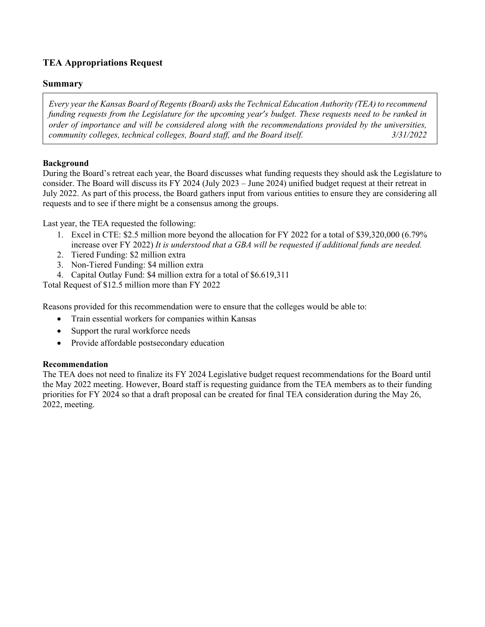# **TEA Appropriations Request**

# **Summary**

*Every year the Kansas Board of Regents (Board) asks the Technical Education Authority (TEA) to recommend funding requests from the Legislature for the upcoming year's budget. These requests need to be ranked in order of importance and will be considered along with the recommendations provided by the universities, community colleges, technical colleges, Board staff, and the Board itself. 3/31/2022* 

# **Background**

During the Board's retreat each year, the Board discusses what funding requests they should ask the Legislature to consider. The Board will discuss its FY 2024 (July 2023 – June 2024) unified budget request at their retreat in July 2022. As part of this process, the Board gathers input from various entities to ensure they are considering all requests and to see if there might be a consensus among the groups.

Last year, the TEA requested the following:

- 1. Excel in CTE: \$2.5 million more beyond the allocation for FY 2022 for a total of \$39,320,000 (6.79% increase over FY 2022) *It is understood that a GBA will be requested if additional funds are needed.*
- 2. Tiered Funding: \$2 million extra
- 3. Non-Tiered Funding: \$4 million extra
- 4. Capital Outlay Fund: \$4 million extra for a total of \$6.619,311

Total Request of \$12.5 million more than FY 2022

Reasons provided for this recommendation were to ensure that the colleges would be able to:

- Train essential workers for companies within Kansas
- Support the rural workforce needs
- Provide affordable postsecondary education

# **Recommendation**

The TEA does not need to finalize its FY 2024 Legislative budget request recommendations for the Board until the May 2022 meeting. However, Board staff is requesting guidance from the TEA members as to their funding priorities for FY 2024 so that a draft proposal can be created for final TEA consideration during the May 26, 2022, meeting.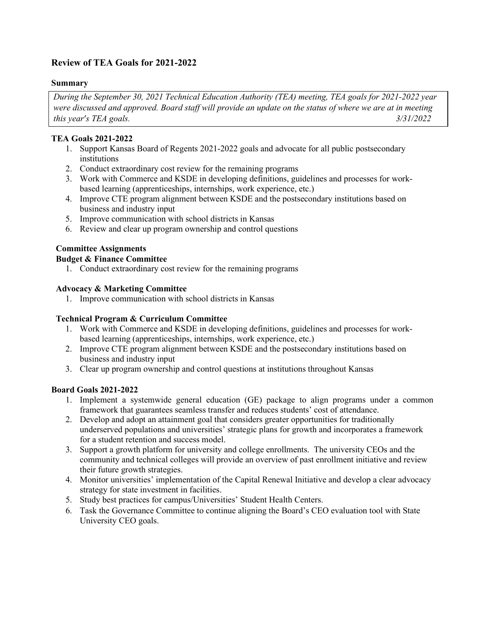# **Review of TEA Goals for 2021-2022**

# **Summary**

*During the September 30, 2021 Technical Education Authority (TEA) meeting, TEA goals for 2021-2022 year were discussed and approved. Board staff will provide an update on the status of where we are at in meeting this year's TEA goals. 3/31/2022* 

# **TEA Goals 2021-2022**

- 1. Support Kansas Board of Regents 2021-2022 goals and advocate for all public postsecondary institutions
- 2. Conduct extraordinary cost review for the remaining programs
- 3. Work with Commerce and KSDE in developing definitions, guidelines and processes for workbased learning (apprenticeships, internships, work experience, etc.)
- 4. Improve CTE program alignment between KSDE and the postsecondary institutions based on business and industry input
- 5. Improve communication with school districts in Kansas
- 6. Review and clear up program ownership and control questions

# **Committee Assignments**

# **Budget & Finance Committee**

1. Conduct extraordinary cost review for the remaining programs

# **Advocacy & Marketing Committee**

1. Improve communication with school districts in Kansas

# **Technical Program & Curriculum Committee**

- 1. Work with Commerce and KSDE in developing definitions, guidelines and processes for workbased learning (apprenticeships, internships, work experience, etc.)
- 2. Improve CTE program alignment between KSDE and the postsecondary institutions based on business and industry input
- 3. Clear up program ownership and control questions at institutions throughout Kansas

# **Board Goals 2021-2022**

- 1. Implement a systemwide general education (GE) package to align programs under a common framework that guarantees seamless transfer and reduces students' cost of attendance.
- 2. Develop and adopt an attainment goal that considers greater opportunities for traditionally underserved populations and universities' strategic plans for growth and incorporates a framework for a student retention and success model.
- 3. Support a growth platform for university and college enrollments. The university CEOs and the community and technical colleges will provide an overview of past enrollment initiative and review their future growth strategies.
- 4. Monitor universities' implementation of the Capital Renewal Initiative and develop a clear advocacy strategy for state investment in facilities.
- 5. Study best practices for campus/Universities' Student Health Centers.
- 6. Task the Governance Committee to continue aligning the Board's CEO evaluation tool with State University CEO goals.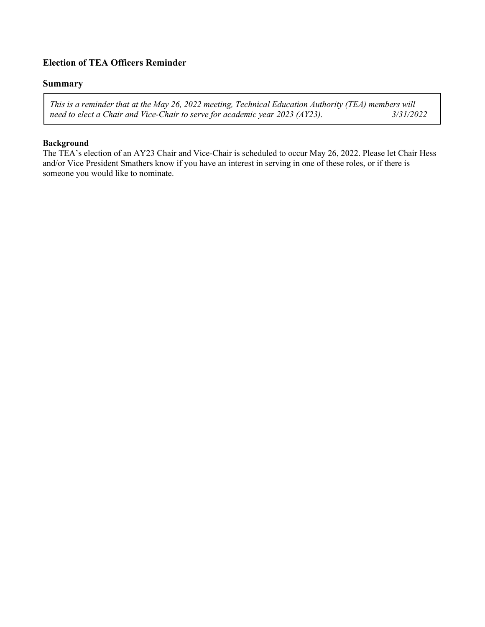# **Election of TEA Officers Reminder**

## **Summary**

*This is a reminder that at the May 26, 2022 meeting, Technical Education Authority (TEA) members will need to elect a Chair and Vice-Chair to serve for academic year 2023 (AY23).* 

# **Background**

The TEA's election of an AY23 Chair and Vice-Chair is scheduled to occur May 26, 2022. Please let Chair Hess and/or Vice President Smathers know if you have an interest in serving in one of these roles, or if there is someone you would like to nominate.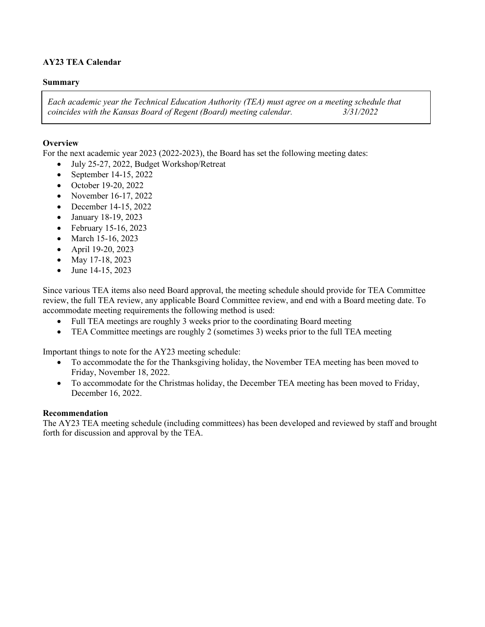# **AY23 TEA Calendar**

## **Summary**

*Each academic year the Technical Education Authority (TEA) must agree on a meeting schedule that coincides with the Kansas Board of Regent (Board) meeting calendar. 3/31/2022* 

# **Overview**

For the next academic year 2023 (2022-2023), the Board has set the following meeting dates:

- July 25-27, 2022, Budget Workshop/Retreat
- September 14-15, 2022
- October 19-20, 2022
- November 16-17, 2022
- December 14-15, 2022
- January 18-19, 2023
- February 15-16, 2023
- March 15-16, 2023
- April 19-20, 2023
- May 17-18, 2023
- June 14-15, 2023

Since various TEA items also need Board approval, the meeting schedule should provide for TEA Committee review, the full TEA review, any applicable Board Committee review, and end with a Board meeting date. To accommodate meeting requirements the following method is used:

- Full TEA meetings are roughly 3 weeks prior to the coordinating Board meeting
- TEA Committee meetings are roughly 2 (sometimes 3) weeks prior to the full TEA meeting

Important things to note for the AY23 meeting schedule:

- To accommodate the for the Thanksgiving holiday, the November TEA meeting has been moved to Friday, November 18, 2022.
- To accommodate for the Christmas holiday, the December TEA meeting has been moved to Friday, December 16, 2022.

# **Recommendation**

The AY23 TEA meeting schedule (including committees) has been developed and reviewed by staff and brought forth for discussion and approval by the TEA.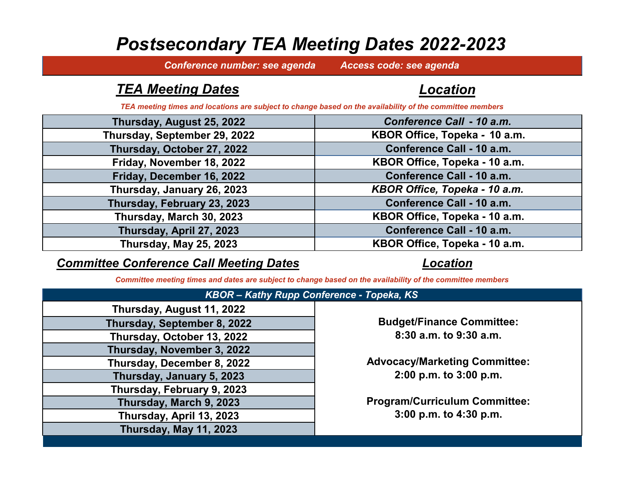# *Postsecondary TEA Meeting Dates 2022-2023*

*Conference number: see agenda Access code: see agenda*

# *TEA Meeting Dates*

# *Location*

*TEA meeting times and locations are subject to change based on the availability of the committee members*

| Thursday, August 25, 2022    | Conference Call - 10 a.m.     |
|------------------------------|-------------------------------|
| Thursday, September 29, 2022 | KBOR Office, Topeka - 10 a.m. |
| Thursday, October 27, 2022   | Conference Call - 10 a.m.     |
| Friday, November 18, 2022    | KBOR Office, Topeka - 10 a.m. |
| Friday, December 16, 2022    | Conference Call - 10 a.m.     |
| Thursday, January 26, 2023   | KBOR Office, Topeka - 10 a.m. |
| Thursday, February 23, 2023  | Conference Call - 10 a.m.     |
| Thursday, March 30, 2023     | KBOR Office, Topeka - 10 a.m. |
| Thursday, April 27, 2023     | Conference Call - 10 a.m.     |
| Thursday, May 25, 2023       | KBOR Office, Topeka - 10 a.m. |

# *Committee Conference Call Meeting Dates*

# *Location*

*Committee meeting times and dates are subject to change based on the availability of the committee members*

| $N$ $D$ $C$ $N$ $T$ $N$ $C$ $C$ $D$ $D$ $T$ $T$ |  |
|-------------------------------------------------|--|
| Thursday, August 11, 2022                       |  |
| Thursday, September 8, 2022                     |  |
| Thursday, October 13, 2022                      |  |
| Thursday, November 3, 2022                      |  |
| Thursday, December 8, 2022                      |  |
| Thursday, January 5, 2023                       |  |
| Thursday, February 9, 2023                      |  |
| Thursday, March 9, 2023                         |  |
| Thursday, April 13, 2023                        |  |
| Thursday, May 11, 2023                          |  |
|                                                 |  |

# *KBOR – Kathy Rupp Conference - Topeka, KS*

**Budget/Finance Committee: 8:30 a.m. to 9:30 a.m.**

**Advocacy/Marketing Committee: 2:00 p.m. to 3:00 p.m.**

**Program/Curriculum Committee: 3:00 p.m. to 4:30 p.m.**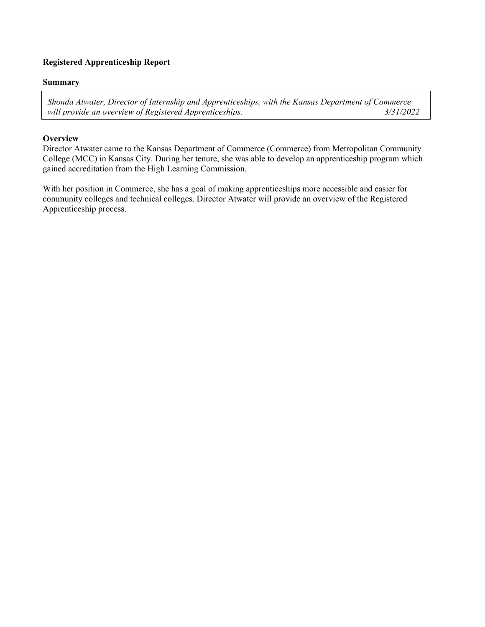# **Registered Apprenticeship Report**

### **Summary**

*Shonda Atwater, Director of Internship and Apprenticeships, with the Kansas Department of Commerce will provide an overview of Registered Apprenticeships. 3/31/2022*

## **Overview**

Director Atwater came to the Kansas Department of Commerce (Commerce) from Metropolitan Community College (MCC) in Kansas City. During her tenure, she was able to develop an apprenticeship program which gained accreditation from the High Learning Commission.

With her position in Commerce, she has a goal of making apprenticeships more accessible and easier for community colleges and technical colleges. Director Atwater will provide an overview of the Registered Apprenticeship process.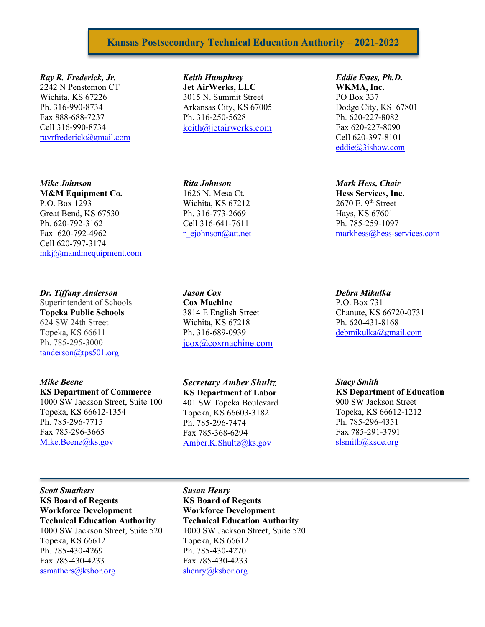# **Kansas Postsecondary Technical Education Authority – 2021-2022**

#### *Ray R. Frederick, Jr.*

2242 N Penstemon CT Wichita, KS 67226 Ph. 316-990-8734 Fax 888-688-7237 Cell 316-990-8734 [rayrfrederick@gmail.com](mailto:rayrfrederick@gmail.com)

#### *Mike Johnson*

**M&M Equipment Co.** P.O. Box 1293 Great Bend, KS 67530 Ph. 620-792-3162 Fax 620-792-4962 Cell 620-797-3174 [mkj@mandmequipment.com](mailto:mkj@mandmequipment.com)

#### *Dr. Tiffany Anderson*

Superintendent of Schools **Topeka Public Schools** 624 SW 24th Street Topeka, KS 66611 Ph. 785-295-3000 [tanderson@tps501.org](mailto:tanderson@tps501.org)

#### *Mike Beene*

**KS Department of Commerce** 1000 SW Jackson Street, Suite 100 Topeka, KS 66612-1354 Ph. 785-296-7715 Fax 785-296-3665 [Mike.Beene@ks.gov](mailto:Mike.Beene@ks.gov)

*Keith Humphrey* **Jet AirWerks, LLC** 3015 N. Summit Street Arkansas City, KS 67005 Ph. 316-250-5628 [keith@jetairwerks.com](mailto:keith@jetairwerks.com)

*Rita Johnson* 1626 N. Mesa Ct. Wichita, KS 67212 Ph. 316-773-2669 Cell 316-641-7611 [r\\_ejohnson@att.net](mailto:r_ejohnson@att.net)

*Jason Cox* **Cox Machine** 3814 E English Street Wichita, KS 67218 Ph. 316-689-0939 [jcox@coxmachine.com](mailto:jcox@coxmachine.com)

*Secretary Amber Shultz* **KS Department of Labor** 401 SW Topeka Boulevard Topeka, KS 66603-3182 Ph. 785-296-7474 Fax 785-368-6294 [Amber.K.Shultz@ks.gov](mailto:Amber.K.Shultz@ks.gov)

*Eddie Estes, Ph.D.* **WKMA, Inc.** PO Box 337 Dodge City, KS 67801 Ph. 620-227-8082 Fax 620-227-8090 Cell 620-397-8101 [eddie@3ishow.com](mailto:david.m.coleal@spiritaero.com)

# *Mark Hess, Chair*

**Hess Services, Inc.**  $2670$  E.  $9<sup>th</sup>$  Street Hays, KS 67601 Ph. 785-259-1097 [markhess@hess-services.com](mailto:markhess@hess-services.com)

# *Debra Mikulka*

P.O. Box 731 Chanute, KS 66720-0731 Ph. 620-431-8168 [debmikulka@gmail.com](mailto:debmikulka@gmail.com)

*Stacy Smith*  **KS Department of Education** 900 SW Jackson Street Topeka, KS 66612-1212 Ph. 785-296-4351 Fax 785-291-3791 [slsmith@ksde.org](mailto:slsmith@ksde.org)

*Scott Smathers* **KS Board of Regents Workforce Development Technical Education Authority** 1000 SW Jackson Street, Suite 520 Topeka, KS 66612 Ph. 785-430-4269 Fax 785-430-4233 [ssmathers@ksbor.org](mailto:ssmathers@ksbor.org)

*Susan Henry* **KS Board of Regents Workforce Development Technical Education Authority** 1000 SW Jackson Street, Suite 520 Topeka, KS 66612 Ph. 785-430-4270 Fax 785-430-4233 [shenry@ksbor.org](mailto:shenry@ksbor.org)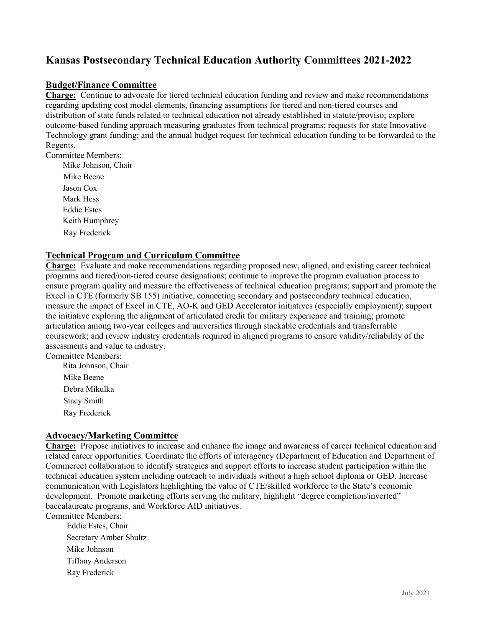# **Kansas Postsecondary Technical Education Authority Committees 2021-2022**

# **Budget/Finance Committee**

**Charge:** Continue to advocate for tiered technical education funding and review and make recommendations regarding updating cost model elements, financing assumptions for tiered and non-tiered courses and distribution of state funds related to technical education not already established in statute/proviso; explore outcome-based funding approach measuring graduates from technical programs; requests for state Innovative Technology grant funding; and the annual budget request for technical education funding to be forwarded to the Regents.

Committee Members:

Mike Johnson, Chair Mike Beene Jason Cox Mark Hess Eddie Estes Keith Humphrey Ray Frederick

# **Technical Program and Curriculum Committee**

**Charge:** Evaluate and make recommendations regarding proposed new, aligned, and existing career technical programs and tiered/non-tiered course designations; continue to improve the program evaluation process to ensure program quality and measure the effectiveness of technical education programs; support and promote the Excel in CTE (formerly SB 155) initiative, connecting secondary and postsecondary technical education, measure the impact of Excel in CTE, AO-K and GED Accelerator initiatives (especially employment); support the initiative exploring the alignment of articulated credit for military experience and training; promote articulation among two-year colleges and universities through stackable credentials and transferrable coursework; and review industry credentials required in aligned programs to ensure validity/reliability of the assessments and value to industry.

Committee Members: Rita Johnson, Chair Mike Beene Debra Mikulka Stacy Smith Ray Frederick

# **Advocacy/Marketing Committee**

**Charge:** Propose initiatives to increase and enhance the image and awareness of career technical education and related career opportunities. Coordinate the efforts of interagency (Department of Education and Department of Commerce) collaboration to identify strategies and support efforts to increase student participation within the technical education system including outreach to individuals without a high school diploma or GED. Increase communication with Legislators highlighting the value of CTE/skilled workforce to the State's economic development. Promote marketing efforts serving the military, highlight "degree completion/inverted" baccalaureate programs, and Workforce AID initiatives.

Committee Members:

Eddie Estes, Chair Secretary Amber Shultz Mike Johnson Tiffany Anderson Ray Frederick